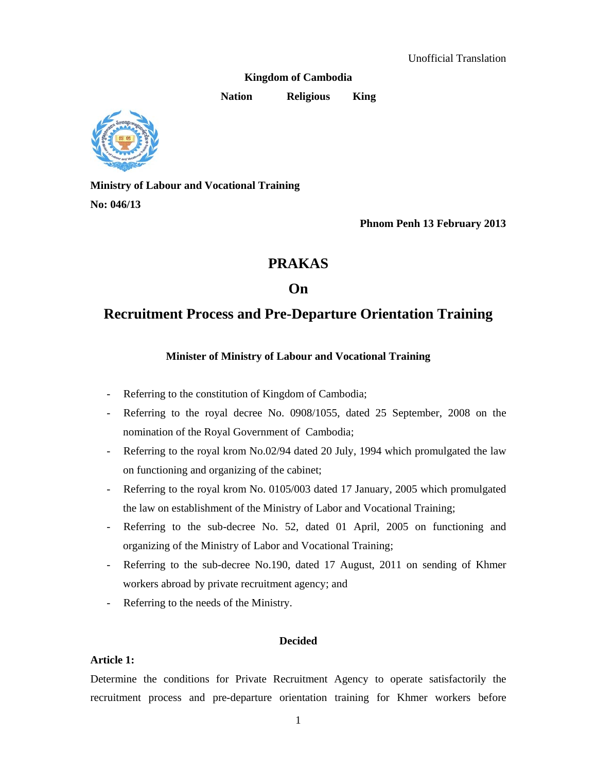**Kingdom of Cambodia** 

**Nation Religious King** 



**Ministry of Labour and Vocational Training No: 046/13** 

 **Phnom Penh 13 February 2013** 

# **PRAKAS**

# **On**

# **Recruitment Process and Pre-Departure Orientation Training**

# **Minister of Ministry of Labour and Vocational Training**

- Referring to the constitution of Kingdom of Cambodia;
- Referring to the royal decree No. 0908/1055, dated 25 September, 2008 on the nomination of the Royal Government of Cambodia;
- Referring to the royal krom No.02/94 dated 20 July, 1994 which promulgated the law on functioning and organizing of the cabinet;
- Referring to the royal krom No. 0105/003 dated 17 January, 2005 which promulgated the law on establishment of the Ministry of Labor and Vocational Training;
- Referring to the sub-decree No. 52, dated 01 April, 2005 on functioning and organizing of the Ministry of Labor and Vocational Training;
- Referring to the sub-decree No.190, dated 17 August, 2011 on sending of Khmer workers abroad by private recruitment agency; and
- Referring to the needs of the Ministry.

# **Decided**

# **Article 1:**

Determine the conditions for Private Recruitment Agency to operate satisfactorily the recruitment process and pre-departure orientation training for Khmer workers before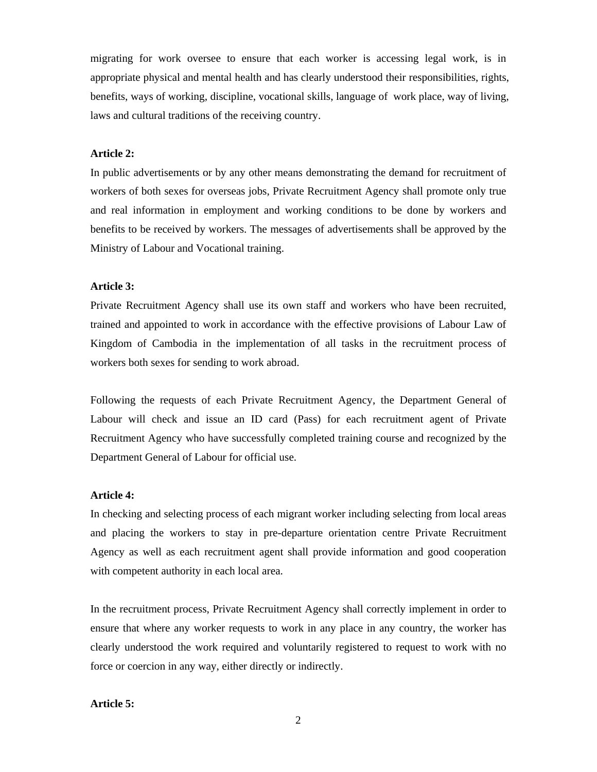migrating for work oversee to ensure that each worker is accessing legal work, is in appropriate physical and mental health and has clearly understood their responsibilities, rights, benefits, ways of working, discipline, vocational skills, language of work place, way of living, laws and cultural traditions of the receiving country.

#### **Article 2:**

In public advertisements or by any other means demonstrating the demand for recruitment of workers of both sexes for overseas jobs, Private Recruitment Agency shall promote only true and real information in employment and working conditions to be done by workers and benefits to be received by workers. The messages of advertisements shall be approved by the Ministry of Labour and Vocational training.

#### **Article 3:**

Private Recruitment Agency shall use its own staff and workers who have been recruited, trained and appointed to work in accordance with the effective provisions of Labour Law of Kingdom of Cambodia in the implementation of all tasks in the recruitment process of workers both sexes for sending to work abroad.

Following the requests of each Private Recruitment Agency, the Department General of Labour will check and issue an ID card (Pass) for each recruitment agent of Private Recruitment Agency who have successfully completed training course and recognized by the Department General of Labour for official use.

#### **Article 4:**

In checking and selecting process of each migrant worker including selecting from local areas and placing the workers to stay in pre-departure orientation centre Private Recruitment Agency as well as each recruitment agent shall provide information and good cooperation with competent authority in each local area.

In the recruitment process, Private Recruitment Agency shall correctly implement in order to ensure that where any worker requests to work in any place in any country, the worker has clearly understood the work required and voluntarily registered to request to work with no force or coercion in any way, either directly or indirectly.

### **Article 5:**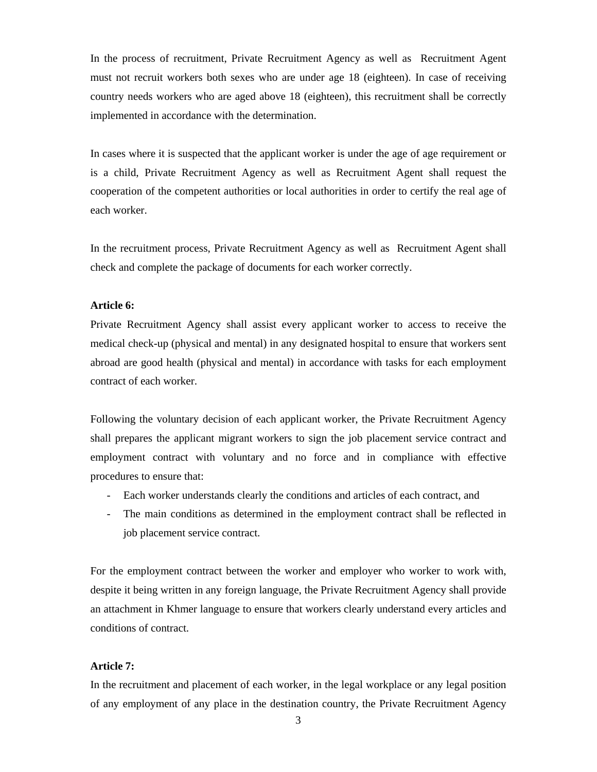In the process of recruitment, Private Recruitment Agency as well as Recruitment Agent must not recruit workers both sexes who are under age 18 (eighteen). In case of receiving country needs workers who are aged above 18 (eighteen), this recruitment shall be correctly implemented in accordance with the determination.

In cases where it is suspected that the applicant worker is under the age of age requirement or is a child, Private Recruitment Agency as well as Recruitment Agent shall request the cooperation of the competent authorities or local authorities in order to certify the real age of each worker.

In the recruitment process, Private Recruitment Agency as well as Recruitment Agent shall check and complete the package of documents for each worker correctly.

## **Article 6:**

Private Recruitment Agency shall assist every applicant worker to access to receive the medical check-up (physical and mental) in any designated hospital to ensure that workers sent abroad are good health (physical and mental) in accordance with tasks for each employment contract of each worker.

Following the voluntary decision of each applicant worker, the Private Recruitment Agency shall prepares the applicant migrant workers to sign the job placement service contract and employment contract with voluntary and no force and in compliance with effective procedures to ensure that:

- Each worker understands clearly the conditions and articles of each contract, and
- The main conditions as determined in the employment contract shall be reflected in job placement service contract.

For the employment contract between the worker and employer who worker to work with, despite it being written in any foreign language, the Private Recruitment Agency shall provide an attachment in Khmer language to ensure that workers clearly understand every articles and conditions of contract.

## **Article 7:**

In the recruitment and placement of each worker, in the legal workplace or any legal position of any employment of any place in the destination country, the Private Recruitment Agency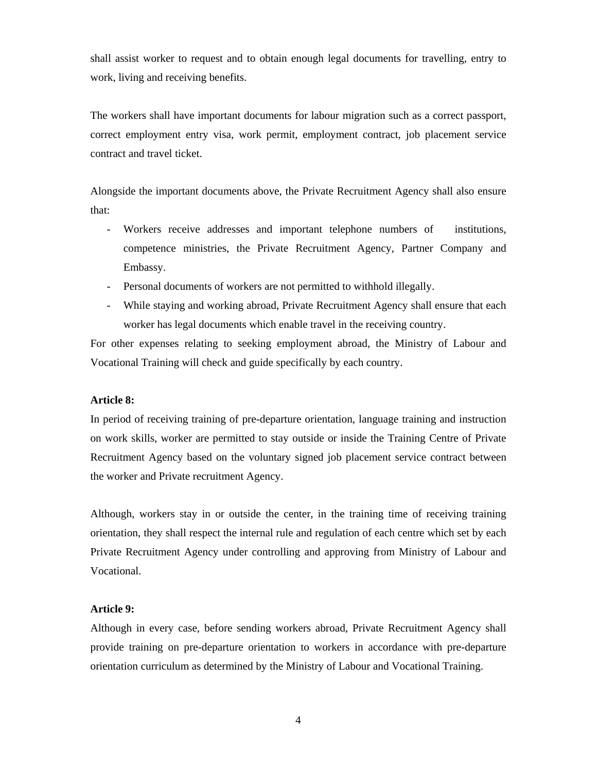shall assist worker to request and to obtain enough legal documents for travelling, entry to work, living and receiving benefits.

The workers shall have important documents for labour migration such as a correct passport, correct employment entry visa, work permit, employment contract, job placement service contract and travel ticket.

Alongside the important documents above, the Private Recruitment Agency shall also ensure that:

- Workers receive addresses and important telephone numbers of institutions, competence ministries, the Private Recruitment Agency, Partner Company and Embassy.
- Personal documents of workers are not permitted to withhold illegally.
- While staying and working abroad, Private Recruitment Agency shall ensure that each worker has legal documents which enable travel in the receiving country.

For other expenses relating to seeking employment abroad, the Ministry of Labour and Vocational Training will check and guide specifically by each country.

#### **Article 8:**

In period of receiving training of pre-departure orientation, language training and instruction on work skills, worker are permitted to stay outside or inside the Training Centre of Private Recruitment Agency based on the voluntary signed job placement service contract between the worker and Private recruitment Agency.

Although, workers stay in or outside the center, in the training time of receiving training orientation, they shall respect the internal rule and regulation of each centre which set by each Private Recruitment Agency under controlling and approving from Ministry of Labour and Vocational.

#### **Article 9:**

Although in every case, before sending workers abroad, Private Recruitment Agency shall provide training on pre-departure orientation to workers in accordance with pre-departure orientation curriculum as determined by the Ministry of Labour and Vocational Training.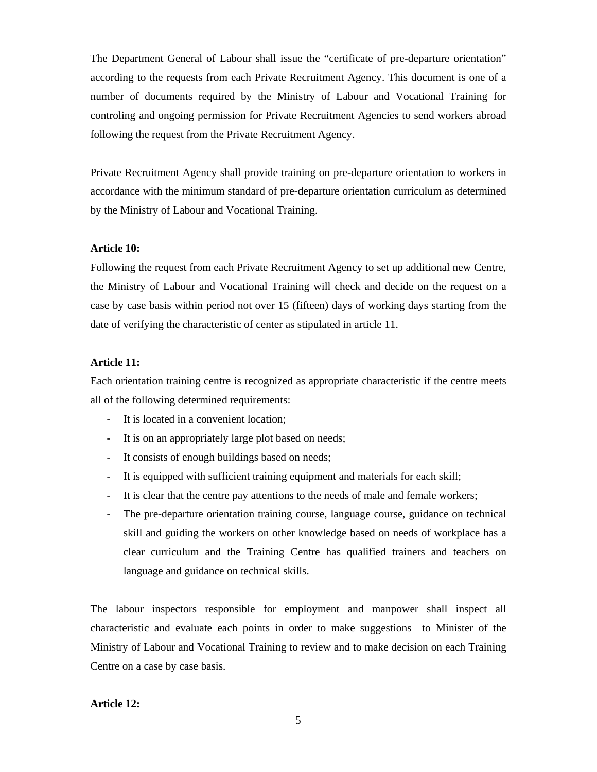The Department General of Labour shall issue the "certificate of pre-departure orientation" according to the requests from each Private Recruitment Agency. This document is one of a number of documents required by the Ministry of Labour and Vocational Training for controling and ongoing permission for Private Recruitment Agencies to send workers abroad following the request from the Private Recruitment Agency.

Private Recruitment Agency shall provide training on pre-departure orientation to workers in accordance with the minimum standard of pre-departure orientation curriculum as determined by the Ministry of Labour and Vocational Training.

#### **Article 10:**

Following the request from each Private Recruitment Agency to set up additional new Centre, the Ministry of Labour and Vocational Training will check and decide on the request on a case by case basis within period not over 15 (fifteen) days of working days starting from the date of verifying the characteristic of center as stipulated in article 11.

#### **Article 11:**

Each orientation training centre is recognized as appropriate characteristic if the centre meets all of the following determined requirements:

- It is located in a convenient location;
- It is on an appropriately large plot based on needs;
- It consists of enough buildings based on needs;
- It is equipped with sufficient training equipment and materials for each skill;
- It is clear that the centre pay attentions to the needs of male and female workers;
- The pre-departure orientation training course, language course, guidance on technical skill and guiding the workers on other knowledge based on needs of workplace has a clear curriculum and the Training Centre has qualified trainers and teachers on language and guidance on technical skills.

The labour inspectors responsible for employment and manpower shall inspect all characteristic and evaluate each points in order to make suggestions to Minister of the Ministry of Labour and Vocational Training to review and to make decision on each Training Centre on a case by case basis.

## **Article 12:**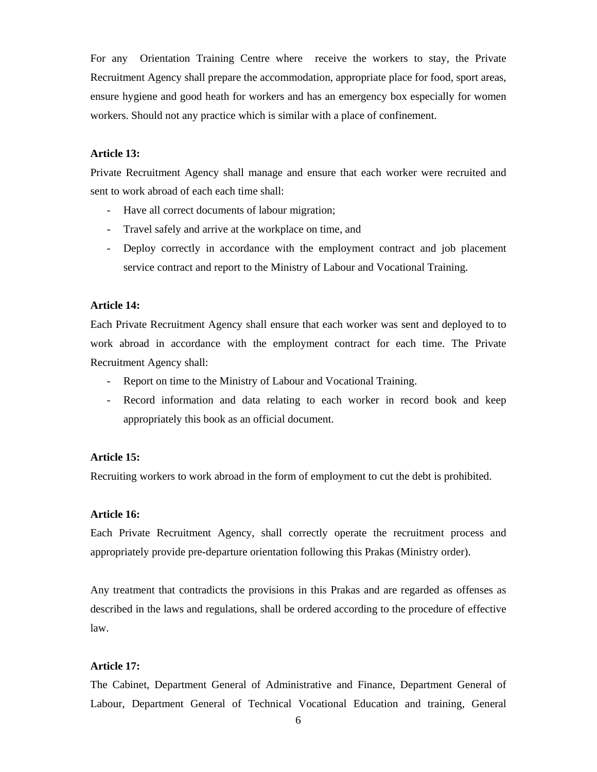For any Orientation Training Centre where receive the workers to stay, the Private Recruitment Agency shall prepare the accommodation, appropriate place for food, sport areas, ensure hygiene and good heath for workers and has an emergency box especially for women workers. Should not any practice which is similar with a place of confinement.

#### **Article 13:**

Private Recruitment Agency shall manage and ensure that each worker were recruited and sent to work abroad of each each time shall:

- Have all correct documents of labour migration;
- Travel safely and arrive at the workplace on time, and
- Deploy correctly in accordance with the employment contract and job placement service contract and report to the Ministry of Labour and Vocational Training.

## **Article 14:**

Each Private Recruitment Agency shall ensure that each worker was sent and deployed to to work abroad in accordance with the employment contract for each time. The Private Recruitment Agency shall:

- Report on time to the Ministry of Labour and Vocational Training.
- Record information and data relating to each worker in record book and keep appropriately this book as an official document.

### **Article 15:**

Recruiting workers to work abroad in the form of employment to cut the debt is prohibited.

#### **Article 16:**

Each Private Recruitment Agency, shall correctly operate the recruitment process and appropriately provide pre-departure orientation following this Prakas (Ministry order).

Any treatment that contradicts the provisions in this Prakas and are regarded as offenses as described in the laws and regulations, shall be ordered according to the procedure of effective law.

#### **Article 17:**

The Cabinet, Department General of Administrative and Finance, Department General of Labour, Department General of Technical Vocational Education and training, General